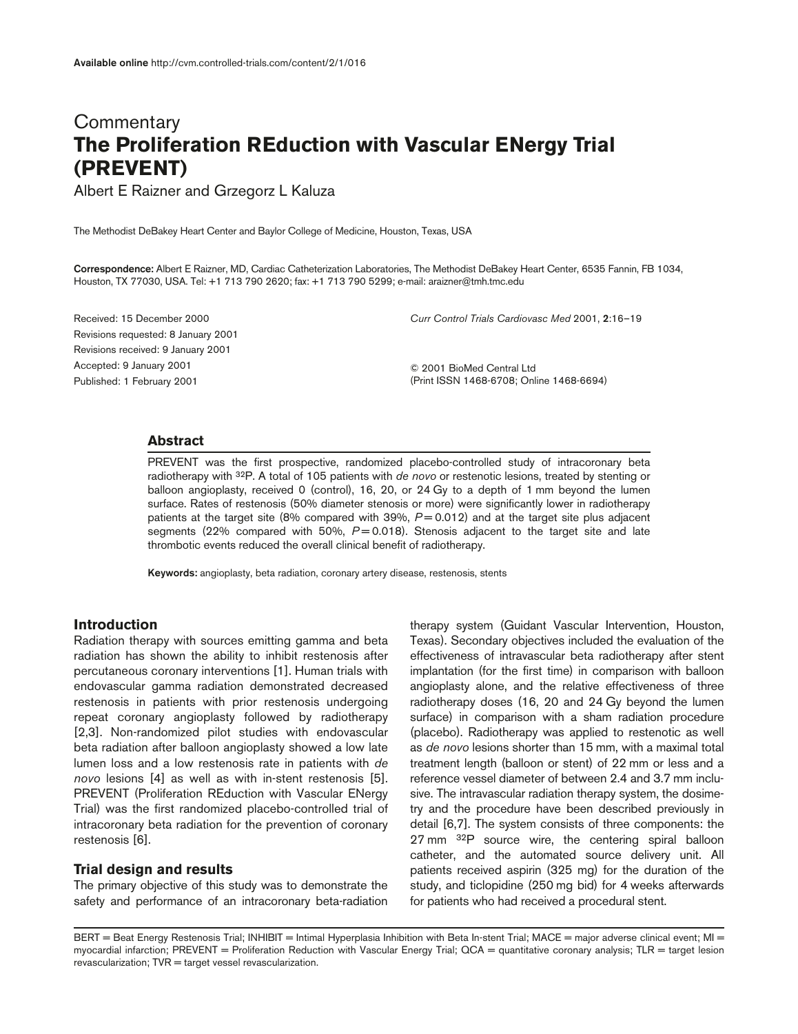# **Commentary The Proliferation REduction with Vascular ENergy Trial (PREVENT)**

Albert E Raizner and Grzegorz L Kaluza

The Methodist DeBakey Heart Center and Baylor College of Medicine, Houston, Texas, USA

**Correspondence:** Albert E Raizner, MD, Cardiac Catheterization Laboratories, The Methodist DeBakey Heart Center, 6535 Fannin, FB 1034, Houston, TX 77030, USA. Tel: +1 713 790 2620; fax: +1 713 790 5299; e-mail: araizner@tmh.tmc.edu

Received: 15 December 2000 Revisions requested: 8 January 2001 Revisions received: 9 January 2001 Accepted: 9 January 2001 Published: 1 February 2001

*Curr Control Trials Cardiovasc Med* 2001, **2**:16–19

© 2001 BioMed Central Ltd (Print ISSN 1468-6708; Online 1468-6694)

#### **Abstract**

PREVENT was the first prospective, randomized placebo-controlled study of intracoronary beta radiotherapy with 32P. A total of 105 patients with *de novo* or restenotic lesions, treated by stenting or balloon angioplasty, received 0 (control), 16, 20, or 24 Gy to a depth of 1 mm beyond the lumen surface. Rates of restenosis (50% diameter stenosis or more) were significantly lower in radiotherapy patients at the target site (8% compared with 39%,  $P = 0.012$ ) and at the target site plus adjacent segments (22% compared with 50%, *P* = 0.018). Stenosis adjacent to the target site and late thrombotic events reduced the overall clinical benefit of radiotherapy.

**Keywords:** angioplasty, beta radiation, coronary artery disease, restenosis, stents

# **Introduction**

Radiation therapy with sources emitting gamma and beta radiation has shown the ability to inhibit restenosis after percutaneous coronary interventions [1]. Human trials with endovascular gamma radiation demonstrated decreased restenosis in patients with prior restenosis undergoing repeat coronary angioplasty followed by radiotherapy [2,3]. Non-randomized pilot studies with endovascular beta radiation after balloon angioplasty showed a low late lumen loss and a low restenosis rate in patients with *de novo* lesions [4] as well as with in-stent restenosis [5]. PREVENT (Proliferation REduction with Vascular ENergy Trial) was the first randomized placebo-controlled trial of intracoronary beta radiation for the prevention of coronary restenosis [6].

# **Trial design and results**

The primary objective of this study was to demonstrate the safety and performance of an intracoronary beta-radiation therapy system (Guidant Vascular Intervention, Houston, Texas). Secondary objectives included the evaluation of the effectiveness of intravascular beta radiotherapy after stent implantation (for the first time) in comparison with balloon angioplasty alone, and the relative effectiveness of three radiotherapy doses (16, 20 and 24 Gy beyond the lumen surface) in comparison with a sham radiation procedure (placebo). Radiotherapy was applied to restenotic as well as *de novo* lesions shorter than 15 mm, with a maximal total treatment length (balloon or stent) of 22 mm or less and a reference vessel diameter of between 2.4 and 3.7 mm inclusive. The intravascular radiation therapy system, the dosimetry and the procedure have been described previously in detail [6,7]. The system consists of three components: the 27 mm <sup>32</sup>P source wire, the centering spiral balloon catheter, and the automated source delivery unit. All patients received aspirin (325 mg) for the duration of the study, and ticlopidine (250 mg bid) for 4 weeks afterwards for patients who had received a procedural stent.

BERT = Beat Energy Restenosis Trial; INHIBIT = Intimal Hyperplasia Inhibition with Beta In-stent Trial; MACE = major adverse clinical event; MI = myocardial infarction; PREVENT = Proliferation Reduction with Vascular Energy Trial; QCA = quantitative coronary analysis; TLR = target lesion  $revascularization$ ;  $TVR = target vessel revascularization$ .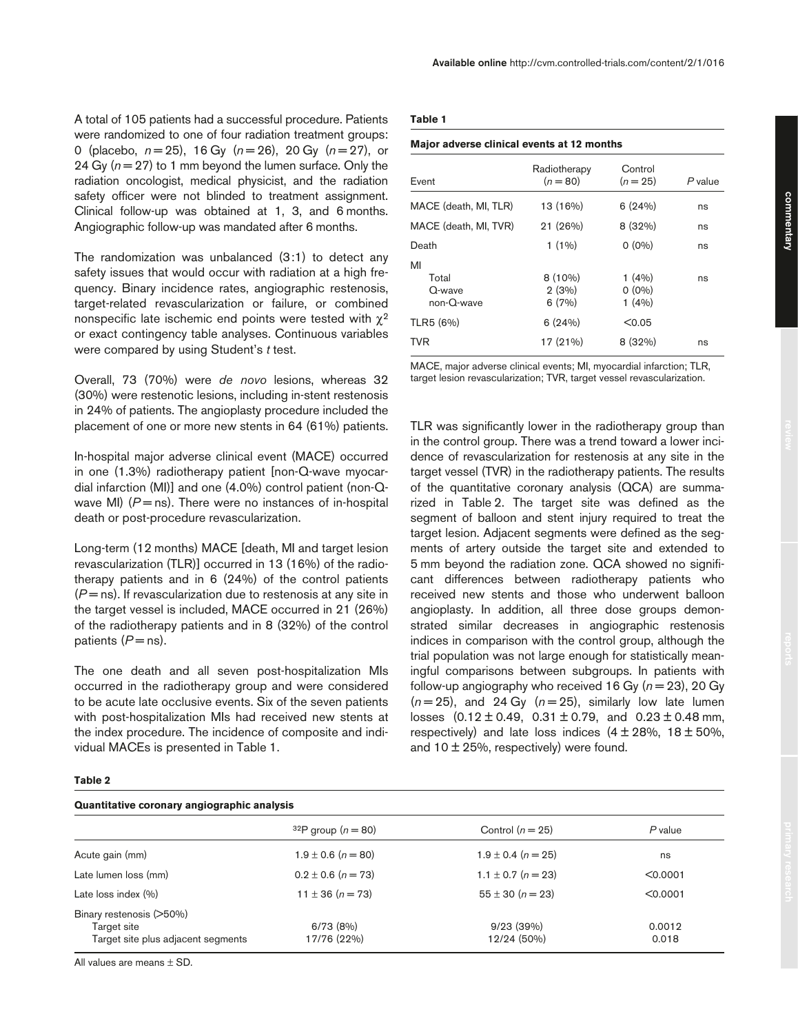A total of 105 patients had a successful procedure. Patients were randomized to one of four radiation treatment groups: 0 (placebo, *n* = 25), 16 Gy (*n* = 26), 20 Gy (*n* = 27), or 24 Gy  $(n = 27)$  to 1 mm beyond the lumen surface. Only the radiation oncologist, medical physicist, and the radiation safety officer were not blinded to treatment assignment. Clinical follow-up was obtained at 1, 3, and 6 months. Angiographic follow-up was mandated after 6 months.

The randomization was unbalanced (3:1) to detect any safety issues that would occur with radiation at a high frequency. Binary incidence rates, angiographic restenosis, target-related revascularization or failure, or combined nonspecific late ischemic end points were tested with  $\chi^2$ or exact contingency table analyses. Continuous variables were compared by using Student's *t* test.

Overall, 73 (70%) were *de novo* lesions, whereas 32 (30%) were restenotic lesions, including in-stent restenosis in 24% of patients. The angioplasty procedure included the placement of one or more new stents in 64 (61%) patients.

In-hospital major adverse clinical event (MACE) occurred in one (1.3%) radiotherapy patient [non-Q-wave myocardial infarction (MI)] and one (4.0%) control patient (non-Qwave MI)  $(P = ns)$ . There were no instances of in-hospital death or post-procedure revascularization.

Long-term (12 months) MACE [death, MI and target lesion revascularization (TLR)] occurred in 13 (16%) of the radiotherapy patients and in 6 (24%) of the control patients  $(P = ns)$ . If revascularization due to restenosis at any site in the target vessel is included, MACE occurred in 21 (26%) of the radiotherapy patients and in 8 (32%) of the control patients  $(P = ns)$ .

The one death and all seven post-hospitalization MIs occurred in the radiotherapy group and were considered to be acute late occlusive events. Six of the seven patients with post-hospitalization MIs had received new stents at the index procedure. The incidence of composite and individual MACEs is presented in Table 1.

#### **Major adverse clinical events at 12 months**

| Event                                  | Radiotherapy<br>$(n = 80)$  | Control<br>$(n = 25)$      | P value |
|----------------------------------------|-----------------------------|----------------------------|---------|
| MACE (death, MI, TLR)                  | 13 (16%)                    | 6(24%)                     | ns      |
| MACE (death, MI, TVR)                  | 21 (26%)                    | 8(32%)                     | ns      |
| Death                                  | $1(1\%)$                    | $0(0\%)$                   | ns      |
| MI<br>Total<br>Q-wave<br>$non-O$ -wave | $8(10\%)$<br>2(3%)<br>6(7%) | 1(4%)<br>$0(0\%)$<br>1(4%) | ns      |
| TLR5 (6%)                              | 6(24%)                      | < 0.05                     |         |
| TVR                                    | 17 (21%)                    | 8(32%)                     | ns      |

MACE, major adverse clinical events; MI, myocardial infarction; TLR, target lesion revascularization; TVR, target vessel revascularization.

TLR was significantly lower in the radiotherapy group than in the control group. There was a trend toward a lower incidence of revascularization for restenosis at any site in the target vessel (TVR) in the radiotherapy patients. The results of the quantitative coronary analysis (QCA) are summarized in Table 2. The target site was defined as the segment of balloon and stent injury required to treat the target lesion. Adjacent segments were defined as the segments of artery outside the target site and extended to 5 mm beyond the radiation zone. QCA showed no significant differences between radiotherapy patients who received new stents and those who underwent balloon angioplasty. In addition, all three dose groups demonstrated similar decreases in angiographic restenosis indices in comparison with the control group, although the trial population was not large enough for statistically meaningful comparisons between subgroups. In patients with follow-up angiography who received 16 Gy  $(n = 23)$ , 20 Gy  $(n=25)$ , and 24 Gy  $(n=25)$ , similarly low late lumen losses  $(0.12 \pm 0.49, 0.31 \pm 0.79, \text{ and } 0.23 \pm 0.48 \text{ mm},$ respectively) and late loss indices  $(4 \pm 28\% , 18 \pm 50\% ,$ and  $10 \pm 25$ %, respectively) were found.

### **Table 2**

# **Quantitative coronary angiographic analysis**

| $32P$ group ( $n = 80$ ) | Control $(n = 25)$       | $P$ value       |
|--------------------------|--------------------------|-----------------|
| $1.9 \pm 0.6$ (n = 80)   | $1.9 \pm 0.4$ (n = 25)   | ns              |
| $0.2 \pm 0.6$ (n = 73)   | $1.1 \pm 0.7$ (n = 23)   | < 0.0001        |
| $11 \pm 36 (n = 73)$     | $55 \pm 30$ (n = 23)     | < 0.0001        |
| 6/73(8%)<br>17/76 (22%)  | 9/23(39%)<br>12/24 (50%) | 0.0012<br>0.018 |
|                          |                          |                 |

All values are means ± SD.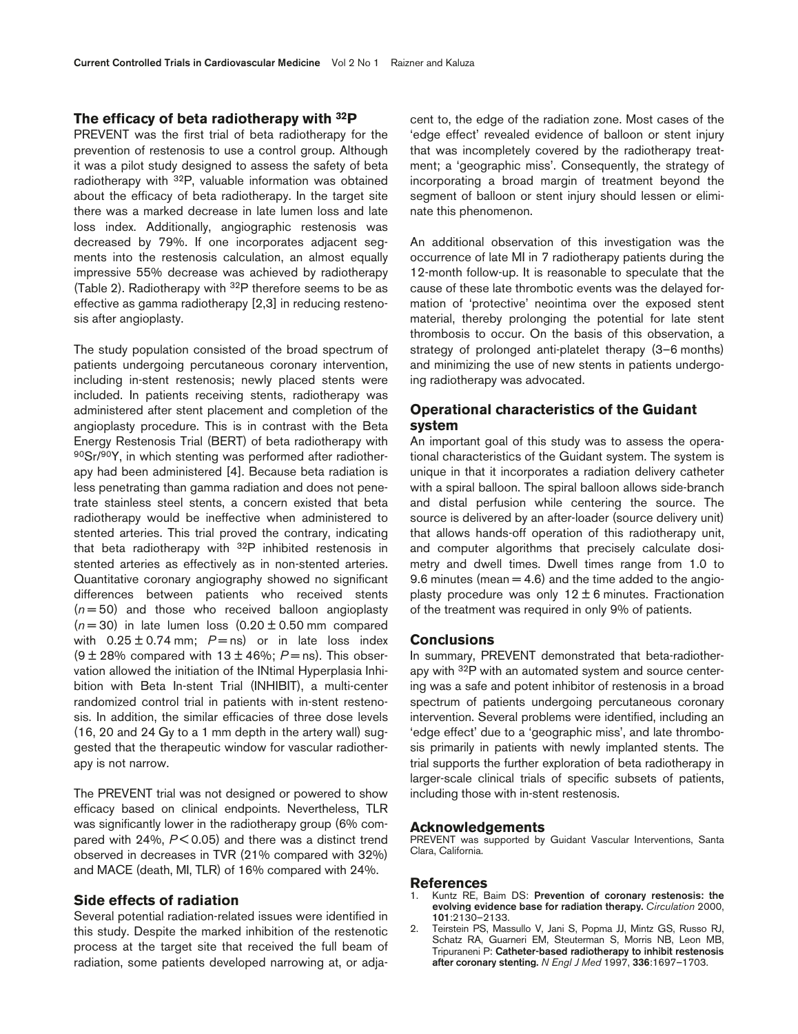### **The efficacy of beta radiotherapy with 32P**

PREVENT was the first trial of beta radiotherapy for the prevention of restenosis to use a control group. Although it was a pilot study designed to assess the safety of beta radiotherapy with 32P, valuable information was obtained about the efficacy of beta radiotherapy. In the target site there was a marked decrease in late lumen loss and late loss index. Additionally, angiographic restenosis was decreased by 79%. If one incorporates adjacent segments into the restenosis calculation, an almost equally impressive 55% decrease was achieved by radiotherapy (Table 2). Radiotherapy with 32P therefore seems to be as effective as gamma radiotherapy [2,3] in reducing restenosis after angioplasty.

The study population consisted of the broad spectrum of patients undergoing percutaneous coronary intervention, including in-stent restenosis; newly placed stents were included. In patients receiving stents, radiotherapy was administered after stent placement and completion of the angioplasty procedure. This is in contrast with the Beta Energy Restenosis Trial (BERT) of beta radiotherapy with 90Sr/90Y, in which stenting was performed after radiotherapy had been administered [4]. Because beta radiation is less penetrating than gamma radiation and does not penetrate stainless steel stents, a concern existed that beta radiotherapy would be ineffective when administered to stented arteries. This trial proved the contrary, indicating that beta radiotherapy with  $32P$  inhibited restenosis in stented arteries as effectively as in non-stented arteries. Quantitative coronary angiography showed no significant differences between patients who received stents  $(n=50)$  and those who received balloon angioplasty  $(n=30)$  in late lumen loss  $(0.20 \pm 0.50 \text{ mm}$  compared with  $0.25 \pm 0.74$  mm;  $P =$ ns) or in late loss index  $(9 \pm 28\%$  compared with  $13 \pm 46\%$ ;  $P =$  ns). This observation allowed the initiation of the INtimal Hyperplasia Inhibition with Beta In-stent Trial (INHIBIT), a multi-center randomized control trial in patients with in-stent restenosis. In addition, the similar efficacies of three dose levels (16, 20 and 24 Gy to a 1 mm depth in the artery wall) suggested that the therapeutic window for vascular radiotherapy is not narrow.

The PREVENT trial was not designed or powered to show efficacy based on clinical endpoints. Nevertheless, TLR was significantly lower in the radiotherapy group (6% compared with 24%, *P* < 0.05) and there was a distinct trend observed in decreases in TVR (21% compared with 32%) and MACE (death, MI, TLR) of 16% compared with 24%.

### **Side effects of radiation**

Several potential radiation-related issues were identified in this study. Despite the marked inhibition of the restenotic process at the target site that received the full beam of radiation, some patients developed narrowing at, or adjacent to, the edge of the radiation zone. Most cases of the 'edge effect' revealed evidence of balloon or stent injury that was incompletely covered by the radiotherapy treatment; a 'geographic miss'. Consequently, the strategy of incorporating a broad margin of treatment beyond the segment of balloon or stent injury should lessen or eliminate this phenomenon.

An additional observation of this investigation was the occurrence of late MI in 7 radiotherapy patients during the 12-month follow-up. It is reasonable to speculate that the cause of these late thrombotic events was the delayed formation of 'protective' neointima over the exposed stent material, thereby prolonging the potential for late stent thrombosis to occur. On the basis of this observation, a strategy of prolonged anti-platelet therapy (3–6 months) and minimizing the use of new stents in patients undergoing radiotherapy was advocated.

# **Operational characteristics of the Guidant system**

An important goal of this study was to assess the operational characteristics of the Guidant system. The system is unique in that it incorporates a radiation delivery catheter with a spiral balloon. The spiral balloon allows side-branch and distal perfusion while centering the source. The source is delivered by an after-loader (source delivery unit) that allows hands-off operation of this radiotherapy unit, and computer algorithms that precisely calculate dosimetry and dwell times. Dwell times range from 1.0 to 9.6 minutes (mean  $=$  4.6) and the time added to the angioplasty procedure was only  $12 \pm 6$  minutes. Fractionation of the treatment was required in only 9% of patients.

#### **Conclusions**

In summary, PREVENT demonstrated that beta-radiotherapy with 32P with an automated system and source centering was a safe and potent inhibitor of restenosis in a broad spectrum of patients undergoing percutaneous coronary intervention. Several problems were identified, including an 'edge effect' due to a 'geographic miss', and late thrombosis primarily in patients with newly implanted stents. The trial supports the further exploration of beta radiotherapy in larger-scale clinical trials of specific subsets of patients, including those with in-stent restenosis.

#### **Acknowledgements**

PREVENT was supported by Guidant Vascular Interventions, Santa Clara, California.

#### **References**

- 1. Kuntz RE, Baim DS: **Prevention of coronary restenosis: the evolving evidence base for radiation therapy.** *Circulation* 2000, **101**:2130–2133.
- 2. Teirstein PS, Massullo V, Jani S, Popma JJ, Mintz GS, Russo RJ, Schatz RA, Guarneri EM, Steuterman S, Morris NB, Leon MB, Tripuraneni P: **Catheter-based radiotherapy to inhibit restenosis after coronary stenting.** *N Engl J Med* 1997, **336**:1697–1703.